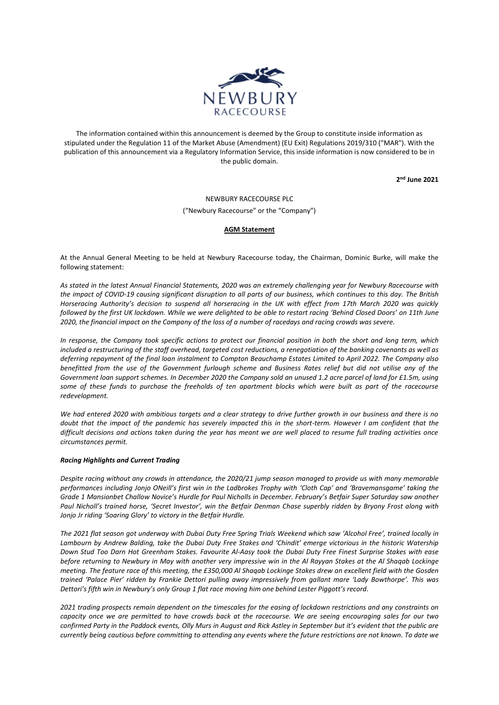

The information contained within this announcement is deemed by the Group to constitute inside information as stipulated under the Regulation 11 of the Market Abuse (Amendment) (EU Exit) Regulations 2019/310 ("MAR"). With the publication of this announcement via a Regulatory Information Service, this inside information is now considered to be in the public domain.

**2 nd June 2021**

NEWBURY RACECOURSE PLC ("Newbury Racecourse" or the "Company")

## **AGM Statement**

At the Annual General Meeting to be held at Newbury Racecourse today, the Chairman, Dominic Burke, will make the following statement:

*As stated in the latest Annual Financial Statements, 2020 was an extremely challenging year for Newbury Racecourse with the impact of COVID-19 causing significant disruption to all parts of our business, which continues to this day. The British Horseracing Authority's decision to suspend all horseracing in the UK with effect from 17th March 2020 was quickly followed by the first UK lockdown. While we were delighted to be able to restart racing 'Behind Closed Doors' on 11th June 2020, the financial impact on the Company of the loss of a number of racedays and racing crowds was severe.* 

*In response, the Company took specific actions to protect our financial position in both the short and long term, which included a restructuring of the staff overhead, targeted cost reductions, a renegotiation of the banking covenants as well as deferring repayment of the final loan instalment to Compton Beauchamp Estates Limited to April 2022. The Company also benefitted from the use of the Government furlough scheme and Business Rates relief but did not utilise any of the Government loan support schemes. In December 2020 the Company sold an unused 1.2 acre parcel of land for £1.5m, using some of these funds to purchase the freeholds of ten apartment blocks which were built as part of the racecourse redevelopment.*

*We had entered 2020 with ambitious targets and a clear strategy to drive further growth in our business and there is no doubt that the impact of the pandemic has severely impacted this in the short-term. However I am confident that the difficult decisions and actions taken during the year has meant we are well placed to resume full trading activities once circumstances permit.* 

## *Racing Highlights and Current Trading*

*Despite racing without any crowds in attendance, the 2020/21 jump season managed to provide us with many memorable performances including Jonjo ONeill's first win in the Ladbrokes Trophy with 'Cloth Cap' and 'Bravemansgame' taking the Grade 1 Mansionbet Challow Novice's Hurdle for Paul Nicholls in December. February's Betfair Super Saturday saw another Paul Nicholl's trained horse, 'Secret Investor', win the Betfair Denman Chase superbly ridden by Bryony Frost along with Jonjo Jr riding 'Soaring Glory' to victory in the Betfair Hurdle.*

*The 2021 flat season got underway with Dubai Duty Free Spring Trials Weekend which saw 'Alcohol Free', trained locally in Lambourn by Andrew Balding, take the Dubai Duty Free Stakes and 'Chindit' emerge victorious in the historic Watership Down Stud Too Darn Hot Greenham Stakes. Favourite Al-Aasy took the Dubai Duty Free Finest Surprise Stakes with ease before returning to Newbury in May with another very impressive win in the Al Rayyan Stakes at the Al Shaqab Lockinge meeting. The feature race of this meeting, the £350,000 Al Shaqab Lockinge Stakes drew an excellent field with the Gosden trained 'Palace Pier' ridden by Frankie Dettori pulling away impressively from gallant mare 'Lady Bowthorpe'. This was Dettori's fifth win in Newbury's only Group 1 flat race moving him one behind Lester Piggott's record.* 

*2021 trading prospects remain dependent on the timescales for the easing of lockdown restrictions and any constraints on capacity once we are permitted to have crowds back at the racecourse. We are seeing encouraging sales for our two confirmed Party in the Paddock events, Olly Murs in August and Rick Astley in September but it's evident that the public are currently being cautious before committing to attending any events where the future restrictions are not known. To date we*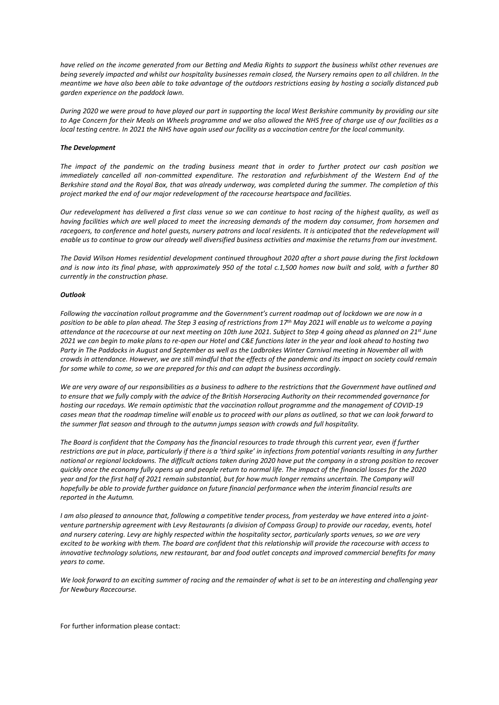*have relied on the income generated from our Betting and Media Rights to support the business whilst other revenues are being severely impacted and whilst our hospitality businesses remain closed, the Nursery remains open to all children. In the meantime we have also been able to take advantage of the outdoors restrictions easing by hosting a socially distanced pub garden experience on the paddock lawn.*

*During 2020 we were proud to have played our part in supporting the local West Berkshire community by providing our site to Age Concern for their Meals on Wheels programme and we also allowed the NHS free of charge use of our facilities as a local testing centre. In 2021 the NHS have again used our facility as a vaccination centre for the local community.*

## *The Development*

*The impact of the pandemic on the trading business meant that in order to further protect our cash position we immediately cancelled all non-committed expenditure. The restoration and refurbishment of the Western End of the Berkshire stand and the Royal Box, that was already underway, was completed during the summer. The completion of this project marked the end of our major redevelopment of the racecourse heartspace and facilities.*

*Our redevelopment has delivered a first class venue so we can continue to host racing of the highest quality, as well as having facilities which are well placed to meet the increasing demands of the modern day consumer, from horsemen and*  racegoers, to conference and hotel guests, nursery patrons and local residents. It is anticipated that the redevelopment will *enable us to continue to grow our already well diversified business activities and maximise the returns from our investment.*

*The David Wilson Homes residential development continued throughout 2020 after a short pause during the first lockdown and is now into its final phase, with approximately 950 of the total c.1,500 homes now built and sold, with a further 80 currently in the construction phase.*

## *Outlook*

*Following the vaccination rollout programme and the Government's current roadmap out of lockdown we are now in a position to be able to plan ahead. The Step 3 easing of restrictions from 17th May 2021 will enable us to welcome a paying attendance at the racecourse at our next meeting on 10th June 2021. Subject to Step 4 going ahead as planned on 21st June 2021 we can begin to make plans to re-open our Hotel and C&E functions later in the year and look ahead to hosting two Party in The Paddocks in August and September as well as the Ladbrokes Winter Carnival meeting in November all with crowds in attendance. However, we are still mindful that the effects of the pandemic and its impact on society could remain for some while to come, so we are prepared for this and can adapt the business accordingly.* 

*We are very aware of our responsibilities as a business to adhere to the restrictions that the Government have outlined and to ensure that we fully comply with the advice of the British Horseracing Authority on their recommended governance for hosting our racedays. We remain optimistic that the vaccination rollout programme and the management of COVID-19 cases mean that the roadmap timeline will enable us to proceed with our plans as outlined, so that we can look forward to the summer flat season and through to the autumn jumps season with crowds and full hospitality.* 

*The Board is confident that the Company has the financial resources to trade through this current year, even if further restrictions are put in place, particularly if there is a 'third spike' in infections from potential variants resulting in any further national or regional lockdowns. The difficult actions taken during 2020 have put the company in a strong position to recover quickly once the economy fully opens up and people return to normal life. The impact of the financial losses for the 2020 year and for the first half of 2021 remain substantial, but for how much longer remains uncertain. The Company will hopefully be able to provide further guidance on future financial performance when the interim financial results are reported in the Autumn.*

*I am also pleased to announce that, following a competitive tender process, from yesterday we have entered into a jointventure partnership agreement with Levy Restaurants (a division of Compass Group) to provide our raceday, events, hotel and nursery catering. Levy are highly respected within the hospitality sector, particularly sports venues, so we are very excited to be working with them. The board are confident that this relationship will provide the racecourse with access to innovative technology solutions, new restaurant, bar and food outlet concepts and improved commercial benefits for many years to come.*

*We look forward to an exciting summer of racing and the remainder of what is set to be an interesting and challenging year for Newbury Racecourse.*

For further information please contact: